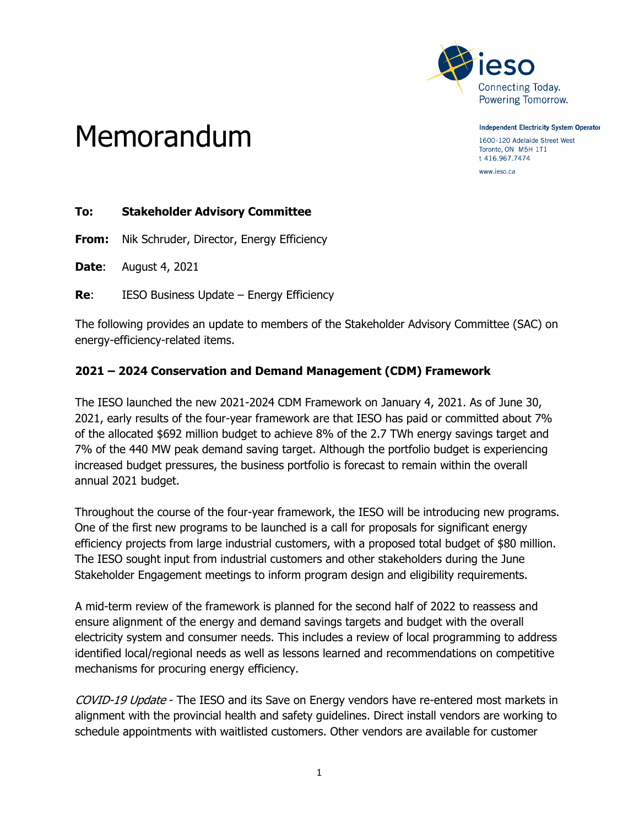

Memorandum

**Independent Electricity System Operator** 

1600-120 Adelaide Street West Toronto, ON M5H 1T1 t 416.967.7474

www.ieso.ca

#### **To: Stakeholder Advisory Committee**

**From:** Nik Schruder, Director, Energy Efficiency

**Date**: August 4, 2021

**Re:** IESO Business Update – Energy Efficiency

The following provides an update to members of the Stakeholder Advisory Committee (SAC) on energy-efficiency-related items.

#### **2021 – 2024 Conservation and Demand Management (CDM) Framework**

The IESO launched the new 2021-2024 CDM Framework on January 4, 2021. As of June 30, 2021, early results of the four-year framework are that IESO has paid or committed about 7% of the allocated \$692 million budget to achieve 8% of the 2.7 TWh energy savings target and 7% of the 440 MW peak demand saving target. Although the portfolio budget is experiencing increased budget pressures, the business portfolio is forecast to remain within the overall annual 2021 budget.

Throughout the course of the four-year framework, the IESO will be introducing new programs. One of the first new programs to be launched is a call for proposals for significant energy efficiency projects from large industrial customers, with a proposed total budget of \$80 million. The IESO sought input from industrial customers and other stakeholders during the June Stakeholder Engagement meetings to inform program design and eligibility requirements.

A mid-term review of the framework is planned for the second half of 2022 to reassess and ensure alignment of the energy and demand savings targets and budget with the overall electricity system and consumer needs. This includes a review of local programming to address identified local/regional needs as well as lessons learned and recommendations on competitive mechanisms for procuring energy efficiency.

COVID-19 Update - The IESO and its Save on Energy vendors have re-entered most markets in alignment with the provincial health and safety guidelines. Direct install vendors are working to schedule appointments with waitlisted customers. Other vendors are available for customer